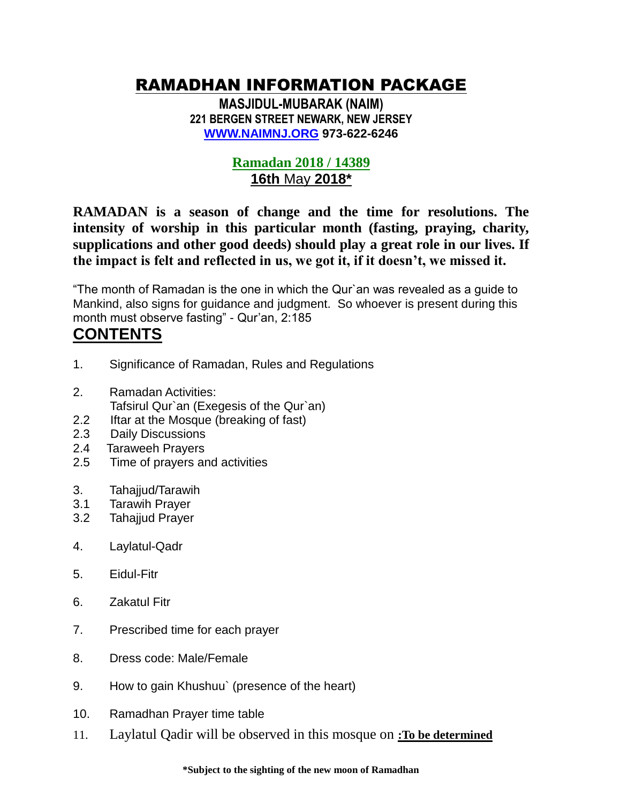# RAMADHAN INFORMATION PACKAGE

**MASJIDUL-MUBARAK (NAIM) 221 BERGEN STREET NEWARK, NEW JERSEY [WWW.NAIMNJ.ORG](http://www.naimnj.org/) 973-622-6246** 

## **Ramadan 2018 / 14389 16th** May **2018\***

**RAMADAN is a season of change and the time for resolutions. The intensity of worship in this particular month (fasting, praying, charity, supplications and other good deeds) should play a great role in our lives. If the impact is felt and reflected in us, we got it, if it doesn't, we missed it.**

"The month of Ramadan is the one in which the Qur`an was revealed as a guide to Mankind, also signs for guidance and judgment. So whoever is present during this month must observe fasting" - Qur'an, 2:185

# **CONTENTS**

- 1. Significance of Ramadan, Rules and Regulations
- 2. Ramadan Activities: Tafsirul Qur`an (Exegesis of the Qur`an)
- 2.2 Iftar at the Mosque (breaking of fast)
- 2.3 Daily Discussions
- 2.4 Taraweeh Prayers
- 2.5 Time of prayers and activities
- 3. Tahajjud/Tarawih
- 3.1 Tarawih Prayer
- 3.2 Tahajjud Prayer
- 4. Laylatul-Qadr
- 5. Eidul-Fitr
- 6. Zakatul Fitr
- 7. Prescribed time for each prayer
- 8. Dress code: Male/Female
- 9. How to gain Khushuu` (presence of the heart)
- 10. Ramadhan Prayer time table
- 11. Laylatul Qadir will be observed in this mosque on **:To be determined**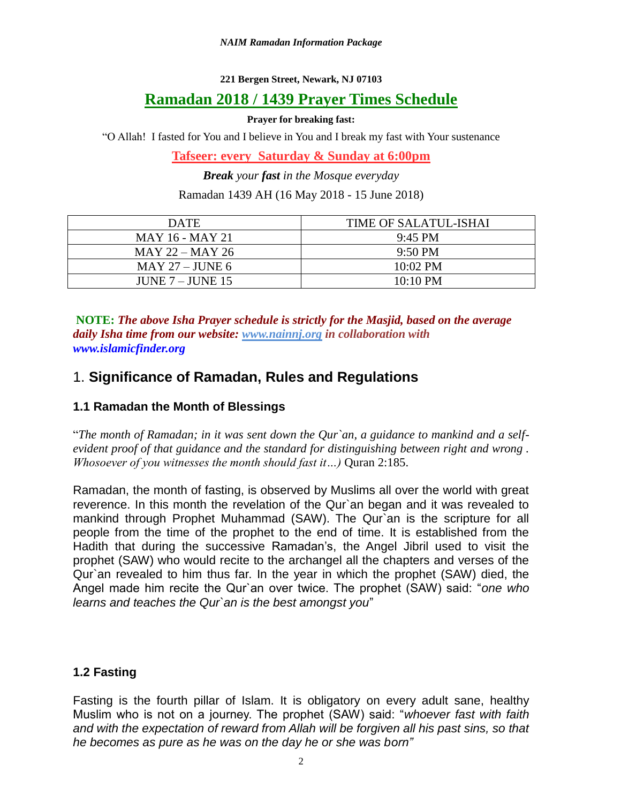#### **221 Bergen Street, Newark, NJ 07103**

## **Ramadan 2018 / 1439 Prayer Times Schedule**

#### **Prayer for breaking fast:**

"O Allah! I fasted for You and I believe in You and I break my fast with Your sustenance

**Tafseer: every Saturday & Sunday at 6:00pm**

*Break your fast in the Mosque everyday*

Ramadan 1439 AH (16 May 2018 - 15 June 2018)

| <b>DATE</b>            | TIME OF SALATUL-ISHAI |
|------------------------|-----------------------|
| <b>MAY 16 - MAY 21</b> | $9:45 \text{ PM}$     |
| $MAY 22 - MAY 26$      | $9:50 \text{ PM}$     |
| MAY 27 – JUNE 6        | $10:02 \text{ PM}$    |
| JUNE $7 -$ JUNE 15     | $10:10 \text{ PM}$    |

**NOTE:** *The above Isha Prayer schedule is strictly for the Masjid, based on the average daily Isha time from our website: [www.nainnj.org](http://www.nainnj.org/) in collaboration with www.islamicfinder.org*

## 1. **Significance of Ramadan, Rules and Regulations**

#### **1.1 Ramadan the Month of Blessings**

"*The month of Ramadan; in it was sent down the Qur`an, a guidance to mankind and a selfevident proof of that guidance and the standard for distinguishing between right and wrong . Whosoever of you witnesses the month should fast it...)* Quran 2:185.

Ramadan, the month of fasting, is observed by Muslims all over the world with great reverence. In this month the revelation of the Qur`an began and it was revealed to mankind through Prophet Muhammad (SAW). The Qur`an is the scripture for all people from the time of the prophet to the end of time. It is established from the Hadith that during the successive Ramadan's, the Angel Jibril used to visit the prophet (SAW) who would recite to the archangel all the chapters and verses of the Qur`an revealed to him thus far. In the year in which the prophet (SAW) died, the Angel made him recite the Qur`an over twice. The prophet (SAW) said: "*one who learns and teaches the Qur`an is the best amongst you*"

## **1.2 Fasting**

Fasting is the fourth pillar of Islam. It is obligatory on every adult sane, healthy Muslim who is not on a journey. The prophet (SAW) said: "*whoever fast with faith and with the expectation of reward from Allah will be forgiven all his past sins, so that he becomes as pure as he was on the day he or she was born"*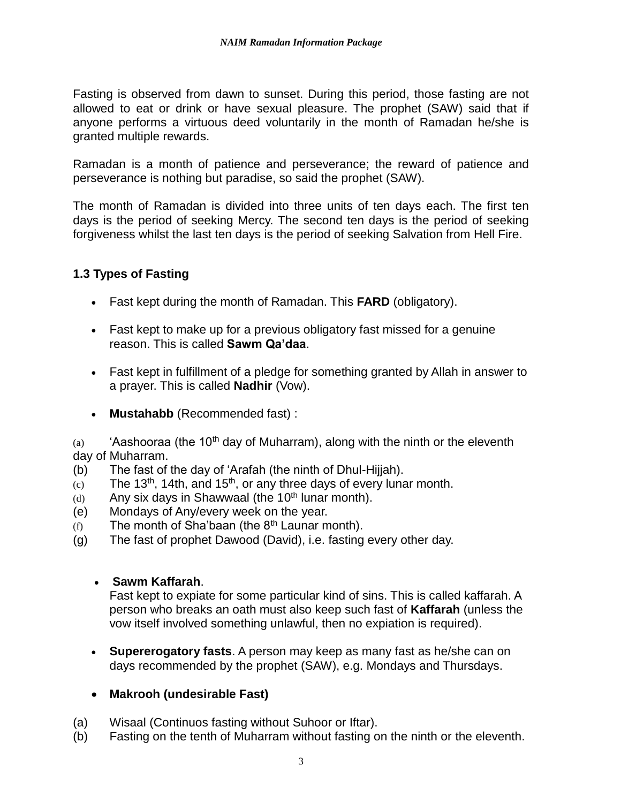Fasting is observed from dawn to sunset. During this period, those fasting are not allowed to eat or drink or have sexual pleasure. The prophet (SAW) said that if anyone performs a virtuous deed voluntarily in the month of Ramadan he/she is granted multiple rewards.

Ramadan is a month of patience and perseverance; the reward of patience and perseverance is nothing but paradise, so said the prophet (SAW).

The month of Ramadan is divided into three units of ten days each. The first ten days is the period of seeking Mercy. The second ten days is the period of seeking forgiveness whilst the last ten days is the period of seeking Salvation from Hell Fire.

### **1.3 Types of Fasting**

- Fast kept during the month of Ramadan. This **FARD** (obligatory).
- Fast kept to make up for a previous obligatory fast missed for a genuine reason. This is called **Sawm Qa'daa**.
- Fast kept in fulfillment of a pledge for something granted by Allah in answer to a prayer. This is called **Nadhir** (Vow).
- **Mustahabb** (Recommended fast) :

(a) 'Aashooraa (the 10<sup>th</sup> day of Muharram), along with the ninth or the eleventh day of Muharram.

- (b) The fast of the day of 'Arafah (the ninth of Dhul-Hijjah).
- $(c)$  The 13<sup>th</sup>, 14th, and 15<sup>th</sup>, or any three days of every lunar month.
- $(d)$  Any six days in Shawwaal (the 10<sup>th</sup> lunar month).
- (e) Mondays of Any/every week on the year.
- $(f)$  The month of Sha'baan (the  $8<sup>th</sup>$  Launar month).
- (g) The fast of prophet Dawood (David), i.e. fasting every other day.

#### • **Sawm Kaffarah**.

Fast kept to expiate for some particular kind of sins. This is called kaffarah. A person who breaks an oath must also keep such fast of **Kaffarah** (unless the vow itself involved something unlawful, then no expiation is required).

• **Supererogatory fasts**. A person may keep as many fast as he/she can on days recommended by the prophet (SAW), e.g. Mondays and Thursdays.

#### • **Makrooh (undesirable Fast)**

- (a) Wisaal (Continuos fasting without Suhoor or Iftar).
- (b) Fasting on the tenth of Muharram without fasting on the ninth or the eleventh.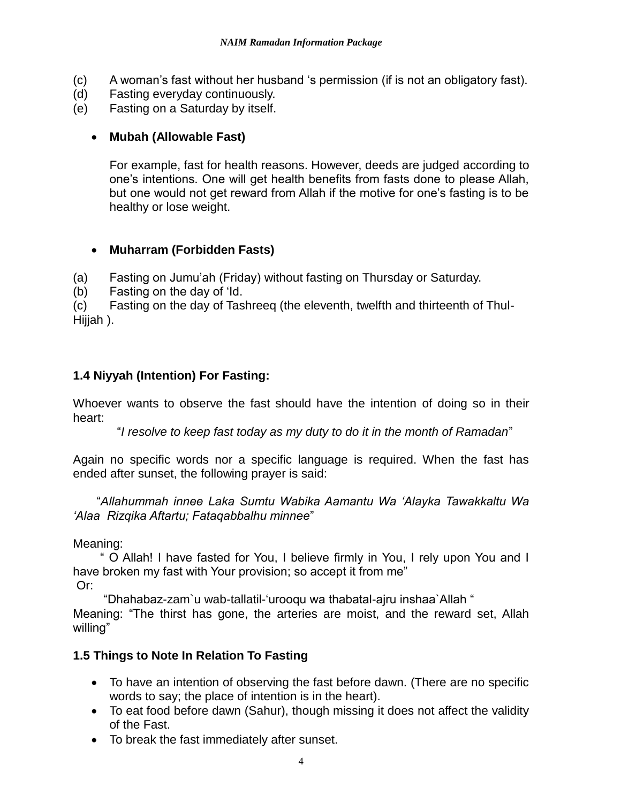- (c) A woman's fast without her husband 's permission (if is not an obligatory fast).
- (d) Fasting everyday continuously.
- (e) Fasting on a Saturday by itself.

#### • **Mubah (Allowable Fast)**

For example, fast for health reasons. However, deeds are judged according to one's intentions. One will get health benefits from fasts done to please Allah, but one would not get reward from Allah if the motive for one's fasting is to be healthy or lose weight.

### • **Muharram (Forbidden Fasts)**

(a) Fasting on Jumu'ah (Friday) without fasting on Thursday or Saturday.

(b) Fasting on the day of 'Id.

(c) Fasting on the day of Tashreeq (the eleventh, twelfth and thirteenth of Thul-Hijjah ).

## **1.4 Niyyah (Intention) For Fasting:**

Whoever wants to observe the fast should have the intention of doing so in their heart:

"*I resolve to keep fast today as my duty to do it in the month of Ramadan*"

Again no specific words nor a specific language is required. When the fast has ended after sunset, the following prayer is said:

 "*Allahummah innee Laka Sumtu Wabika Aamantu Wa 'Alayka Tawakkaltu Wa 'Alaa Rizqika Aftartu; Fataqabbalhu minnee*"

Meaning:

 " O Allah! I have fasted for You, I believe firmly in You, I rely upon You and I have broken my fast with Your provision; so accept it from me" Or:

"Dhahabaz-zam`u wab-tallatil-'urooqu wa thabatal-ajru inshaa`Allah "

Meaning: "The thirst has gone, the arteries are moist, and the reward set, Allah willing"

## **1.5 Things to Note In Relation To Fasting**

- To have an intention of observing the fast before dawn. (There are no specific words to say; the place of intention is in the heart).
- To eat food before dawn (Sahur), though missing it does not affect the validity of the Fast.
- To break the fast immediately after sunset.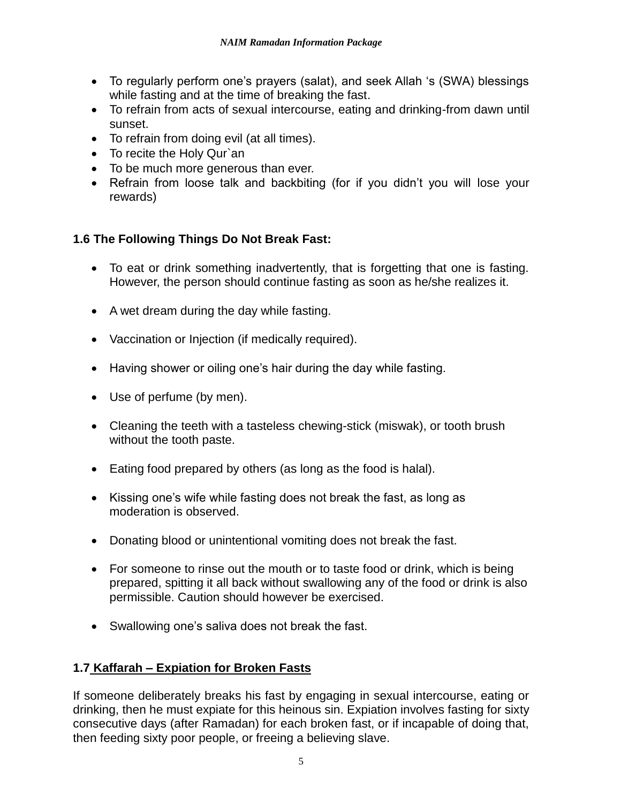- To regularly perform one's prayers (salat), and seek Allah 's (SWA) blessings while fasting and at the time of breaking the fast.
- To refrain from acts of sexual intercourse, eating and drinking-from dawn until sunset.
- To refrain from doing evil (at all times).
- To recite the Holy Qur`an
- To be much more generous than ever.
- Refrain from loose talk and backbiting (for if you didn't you will lose your rewards)

## **1.6 The Following Things Do Not Break Fast:**

- To eat or drink something inadvertently, that is forgetting that one is fasting. However, the person should continue fasting as soon as he/she realizes it.
- A wet dream during the day while fasting.
- Vaccination or Injection (if medically required).
- Having shower or oiling one's hair during the day while fasting.
- Use of perfume (by men).
- Cleaning the teeth with a tasteless chewing-stick (miswak), or tooth brush without the tooth paste.
- Eating food prepared by others (as long as the food is halal).
- Kissing one's wife while fasting does not break the fast, as long as moderation is observed.
- Donating blood or unintentional vomiting does not break the fast.
- For someone to rinse out the mouth or to taste food or drink, which is being prepared, spitting it all back without swallowing any of the food or drink is also permissible. Caution should however be exercised.
- Swallowing one's saliva does not break the fast.

## **1.7 Kaffarah – Expiation for Broken Fasts**

If someone deliberately breaks his fast by engaging in sexual intercourse, eating or drinking, then he must expiate for this heinous sin. Expiation involves fasting for sixty consecutive days (after Ramadan) for each broken fast, or if incapable of doing that, then feeding sixty poor people, or freeing a believing slave.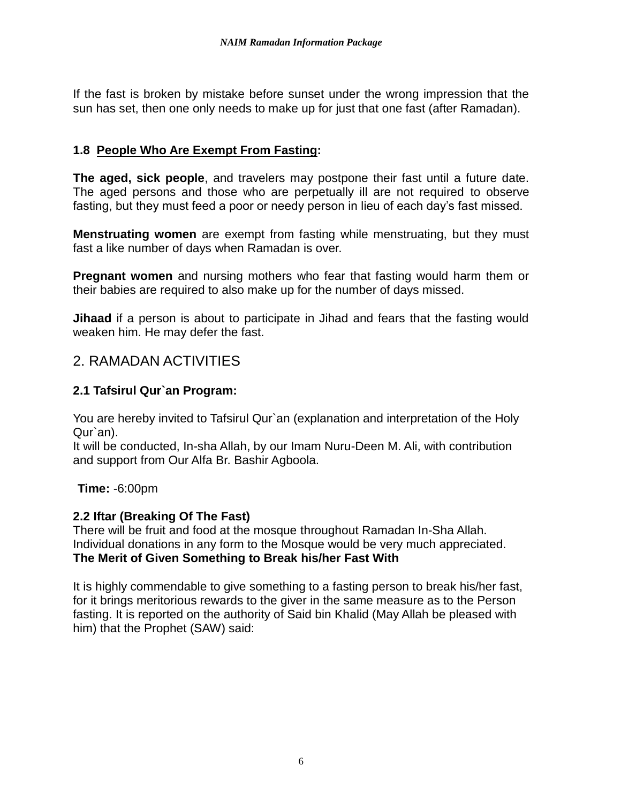If the fast is broken by mistake before sunset under the wrong impression that the sun has set, then one only needs to make up for just that one fast (after Ramadan).

## **1.8 People Who Are Exempt From Fasting:**

**The aged, sick people**, and travelers may postpone their fast until a future date. The aged persons and those who are perpetually ill are not required to observe fasting, but they must feed a poor or needy person in lieu of each day's fast missed.

**Menstruating women** are exempt from fasting while menstruating, but they must fast a like number of days when Ramadan is over.

**Pregnant women** and nursing mothers who fear that fasting would harm them or their babies are required to also make up for the number of days missed.

**Jihaad** if a person is about to participate in Jihad and fears that the fasting would weaken him. He may defer the fast.

## 2. RAMADAN ACTIVITIES

### **2.1 Tafsirul Qur`an Program:**

You are hereby invited to Tafsirul Qur`an (explanation and interpretation of the Holy Qur`an).

It will be conducted, In-sha Allah, by our Imam Nuru-Deen M. Ali, with contribution and support from Our Alfa Br. Bashir Agboola.

**Time:** -6:00pm

#### **2.2 Iftar (Breaking Of The Fast)**

There will be fruit and food at the mosque throughout Ramadan In-Sha Allah. Individual donations in any form to the Mosque would be very much appreciated. **The Merit of Given Something to Break his/her Fast With**

It is highly commendable to give something to a fasting person to break his/her fast, for it brings meritorious rewards to the giver in the same measure as to the Person fasting. It is reported on the authority of Said bin Khalid (May Allah be pleased with him) that the Prophet (SAW) said: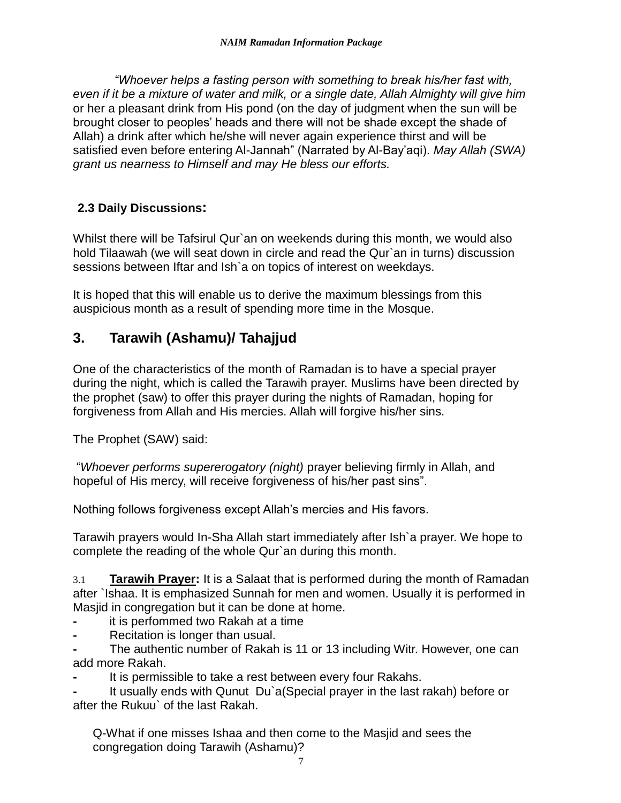*"Whoever helps a fasting person with something to break his/her fast with, even if it be a mixture of water and milk, or a single date, Allah Almighty will give him*  or her a pleasant drink from His pond (on the day of judgment when the sun will be brought closer to peoples' heads and there will not be shade except the shade of Allah) a drink after which he/she will never again experience thirst and will be satisfied even before entering Al-Jannah" (Narrated by Al-Bay'aqi). *May Allah (SWA) grant us nearness to Himself and may He bless our efforts.*

## **2.3 Daily Discussions:**

Whilst there will be Tafsirul Qur`an on weekends during this month, we would also hold Tilaawah (we will seat down in circle and read the Qur`an in turns) discussion sessions between Iftar and Ish`a on topics of interest on weekdays.

It is hoped that this will enable us to derive the maximum blessings from this auspicious month as a result of spending more time in the Mosque.

## **3. Tarawih (Ashamu)/ Tahajjud**

One of the characteristics of the month of Ramadan is to have a special prayer during the night, which is called the Tarawih prayer. Muslims have been directed by the prophet (saw) to offer this prayer during the nights of Ramadan, hoping for forgiveness from Allah and His mercies. Allah will forgive his/her sins.

The Prophet (SAW) said:

"*Whoever performs supererogatory (night)* prayer believing firmly in Allah, and hopeful of His mercy, will receive forgiveness of his/her past sins".

Nothing follows forgiveness except Allah's mercies and His favors.

Tarawih prayers would In-Sha Allah start immediately after Ish`a prayer. We hope to complete the reading of the whole Qur`an during this month.

3.1 **Tarawih Prayer:** It is a Salaat that is performed during the month of Ramadan after `Ishaa. It is emphasized Sunnah for men and women. Usually it is performed in Masjid in congregation but it can be done at home.

- **-** it is perfommed two Rakah at a time
- **-** Recitation is longer than usual.

**-** The authentic number of Rakah is 11 or 13 including Witr. However, one can add more Rakah.

**-** It is permissible to take a rest between every four Rakahs.

**-** It usually ends with Qunut Du`a(Special prayer in the last rakah) before or after the Rukuu` of the last Rakah.

Q-What if one misses Ishaa and then come to the Masjid and sees the congregation doing Tarawih (Ashamu)?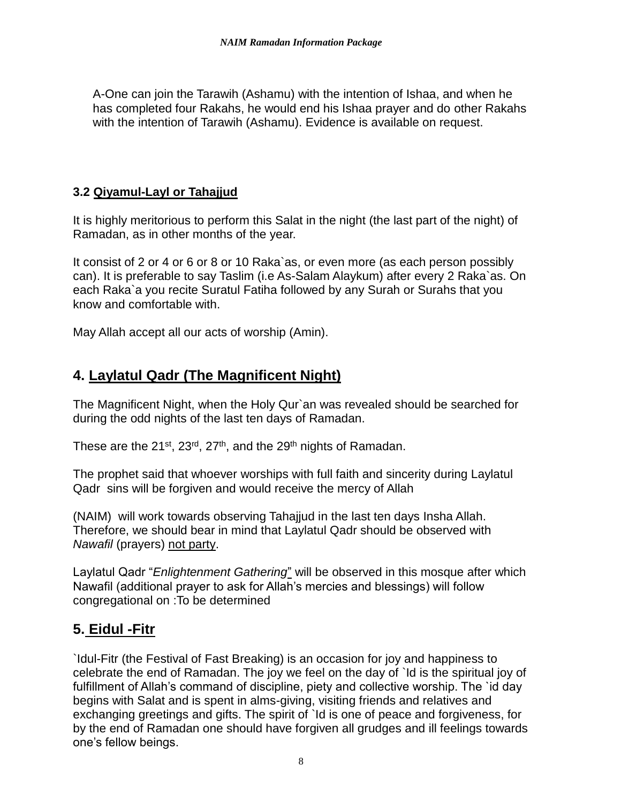A-One can join the Tarawih (Ashamu) with the intention of Ishaa, and when he has completed four Rakahs, he would end his Ishaa prayer and do other Rakahs with the intention of Tarawih (Ashamu). Evidence is available on request.

### **3.2 Qiyamul-Layl or Tahajjud**

It is highly meritorious to perform this Salat in the night (the last part of the night) of Ramadan, as in other months of the year.

It consist of 2 or 4 or 6 or 8 or 10 Raka`as, or even more (as each person possibly can). It is preferable to say Taslim (i.e As-Salam Alaykum) after every 2 Raka`as. On each Raka`a you recite Suratul Fatiha followed by any Surah or Surahs that you know and comfortable with.

May Allah accept all our acts of worship (Amin).

## **4. Laylatul Qadr (The Magnificent Night)**

The Magnificent Night, when the Holy Qur`an was revealed should be searched for during the odd nights of the last ten days of Ramadan.

These are the 21<sup>st</sup>, 23<sup>rd</sup>, 27<sup>th</sup>, and the 29<sup>th</sup> nights of Ramadan.

The prophet said that whoever worships with full faith and sincerity during Laylatul Qadr sins will be forgiven and would receive the mercy of Allah

(NAIM) will work towards observing Tahajjud in the last ten days Insha Allah. Therefore, we should bear in mind that Laylatul Qadr should be observed with *Nawafil* (prayers) not party.

Laylatul Qadr "*Enlightenment Gathering*" will be observed in this mosque after which Nawafil (additional prayer to ask for Allah's mercies and blessings) will follow congregational on :To be determined

## **5. Eidul -Fitr**

`Idul-Fitr (the Festival of Fast Breaking) is an occasion for joy and happiness to celebrate the end of Ramadan. The joy we feel on the day of `Id is the spiritual joy of fulfillment of Allah's command of discipline, piety and collective worship. The `id day begins with Salat and is spent in alms-giving, visiting friends and relatives and exchanging greetings and gifts. The spirit of `Id is one of peace and forgiveness, for by the end of Ramadan one should have forgiven all grudges and ill feelings towards one's fellow beings.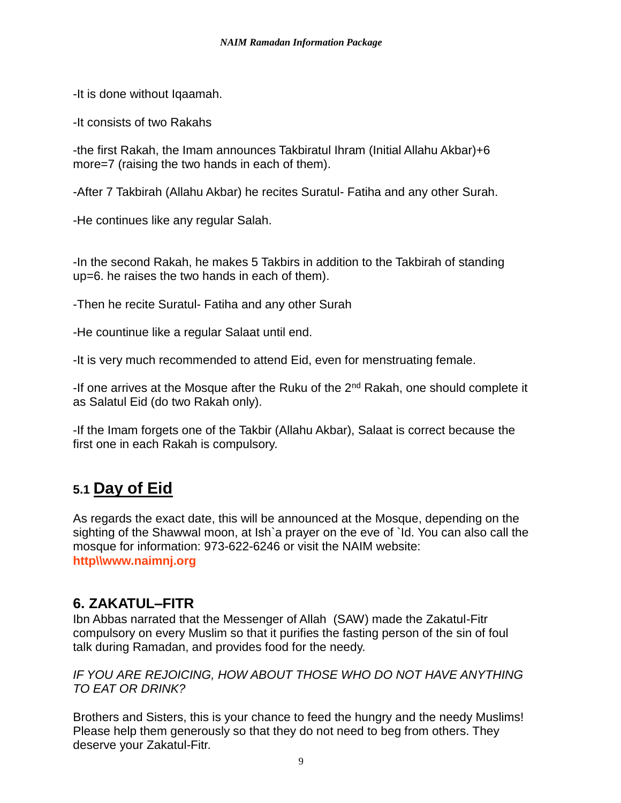-It is done without Iqaamah.

-It consists of two Rakahs

-the first Rakah, the Imam announces Takbiratul Ihram (Initial Allahu Akbar)+6 more=7 (raising the two hands in each of them).

-After 7 Takbirah (Allahu Akbar) he recites Suratul- Fatiha and any other Surah.

-He continues like any regular Salah.

-In the second Rakah, he makes 5 Takbirs in addition to the Takbirah of standing up=6. he raises the two hands in each of them).

-Then he recite Suratul- Fatiha and any other Surah

-He countinue like a regular Salaat until end.

-It is very much recommended to attend Eid, even for menstruating female.

-If one arrives at the Mosque after the Ruku of the  $2<sup>nd</sup>$  Rakah, one should complete it as Salatul Eid (do two Rakah only).

-If the Imam forgets one of the Takbir (Allahu Akbar), Salaat is correct because the first one in each Rakah is compulsory.

# **5.1 Day of Eid**

As regards the exact date, this will be announced at the Mosque, depending on the sighting of the Shawwal moon, at Ish`a prayer on the eve of `Id. You can also call the mosque for information: 973-622-6246 or visit the NAIM website: **http\\www.naimnj.org**

## **6. ZAKATUL–FITR**

Ibn Abbas narrated that the Messenger of Allah (SAW) made the Zakatul-Fitr compulsory on every Muslim so that it purifies the fasting person of the sin of foul talk during Ramadan, and provides food for the needy.

#### *IF YOU ARE REJOICING, HOW ABOUT THOSE WHO DO NOT HAVE ANYTHING TO EAT OR DRINK?*

Brothers and Sisters, this is your chance to feed the hungry and the needy Muslims! Please help them generously so that they do not need to beg from others. They deserve your Zakatul-Fitr.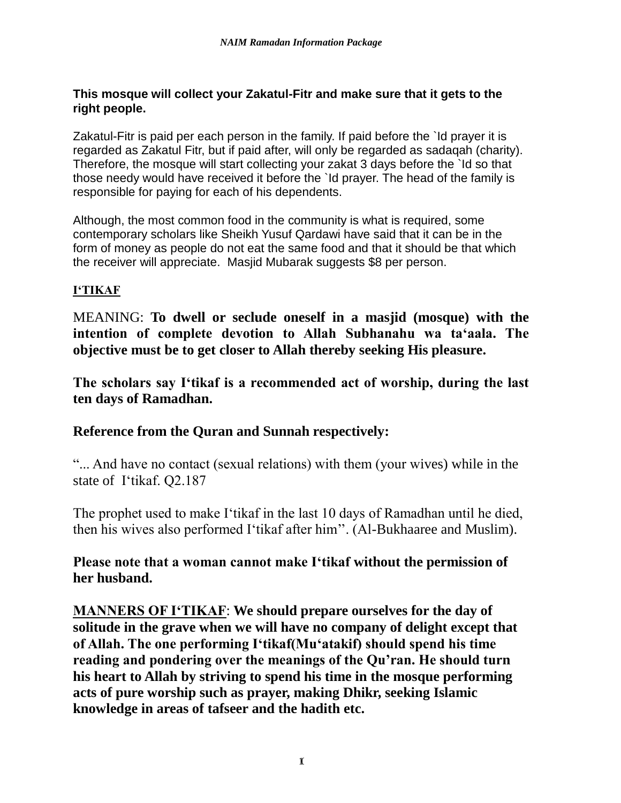#### **This mosque will collect your Zakatul-Fitr and make sure that it gets to the right people.**

Zakatul-Fitr is paid per each person in the family. If paid before the 'Id prayer it is regarded as Zakatul Fitr, but if paid after, will only be regarded as sadaqah (charity). Therefore, the mosque will start collecting your zakat 3 days before the `Id so that those needy would have received it before the `Id prayer. The head of the family is responsible for paying for each of his dependents.

Although, the most common food in the community is what is required, some contemporary scholars like Sheikh Yusuf Qardawi have said that it can be in the form of money as people do not eat the same food and that it should be that which the receiver will appreciate. Masjid Mubarak suggests \$8 per person.

## **I'TIKAF**

MEANING: **To dwell or seclude oneself in a masjid (mosque) with the intention of complete devotion to Allah Subhanahu wa ta'aala. The objective must be to get closer to Allah thereby seeking His pleasure.**

**The scholars say I'tikaf is a recommended act of worship, during the last ten days of Ramadhan.**

## **Reference from the Quran and Sunnah respectively:**

"... And have no contact (sexual relations) with them (your wives) while in the state ofI'tikaf. Q2.187

The prophet used to make I'tikaf in the last 10 days of Ramadhan until he died, then his wives also performed I'tikaf after him''. (Al-Bukhaaree and Muslim).

## **Please note that a woman cannot make I'tikaf without the permission of her husband.**

**MANNERS OF I'TIKAF**: **We should prepare ourselves for the day of solitude in the grave when we will have no company of delight except that of Allah. The one performing I'tikaf(Mu'atakif) should spend his time reading and pondering over the meanings of the Qu'ran. He should turn his heart to Allah by striving to spend his time in the mosque performing acts of pure worship such as prayer, making Dhikr, seeking Islamic knowledge in areas of tafseer and the hadith etc.**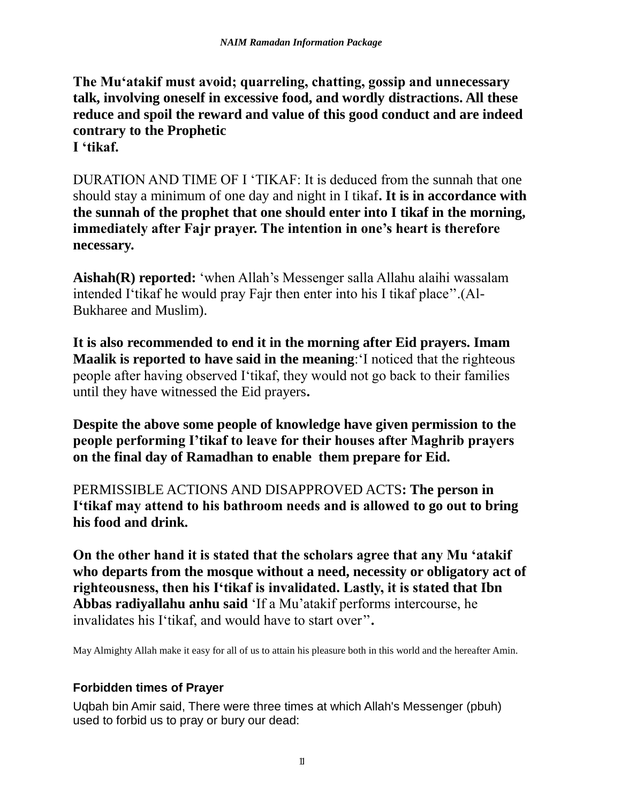**The Mu'atakif must avoid; quarreling, chatting, gossip and unnecessary talk, involving oneself in excessive food, and wordly distractions. All these reduce and spoil the reward and value of this good conduct and are indeed contrary to the Prophetic I 'tikaf.**

DURATION AND TIME OF I 'TIKAF: It is deduced from the sunnah that one should stay a minimum of one day and night in I tikaf**. It is in accordance with the sunnah of the prophet that one should enter into I tikaf in the morning, immediately after Fajr prayer. The intention in one's heart is therefore necessary.**

**Aishah(R) reported:** 'when Allah's Messenger salla Allahu alaihi wassalam intended I'tikaf he would pray Fajr then enter into his I tikaf place''.(Al-Bukharee and Muslim).

**It is also recommended to end it in the morning after Eid prayers. Imam Maalik is reported to have said in the meaning**:'I noticed that the righteous people after having observed I'tikaf, they would not go back to their families until they have witnessed the Eid prayers**.**

**Despite the above some people of knowledge have given permission to the people performing I'tikaf to leave for their houses after Maghrib prayers on the final day of Ramadhan to enable them prepare for Eid.**

PERMISSIBLE ACTIONS AND DISAPPROVED ACTS**: The person in I'tikaf may attend to his bathroom needs and is allowed to go out to bring his food and drink.**

**On the other hand it is stated that the scholars agree that any Mu 'atakif who departs from the mosque without a need, necessity or obligatory act of righteousness, then his I'tikaf is invalidated. Lastly, it is stated that Ibn Abbas radiyallahu anhu said** 'If a Mu'atakif performs intercourse, he invalidates his I'tikaf, and would have to start over''**.**

May Almighty Allah make it easy for all of us to attain his pleasure both in this world and the hereafter Amin.

## **Forbidden times of Prayer**

Uqbah bin Amir said, There were three times at which Allah's Messenger (pbuh) used to forbid us to pray or bury our dead: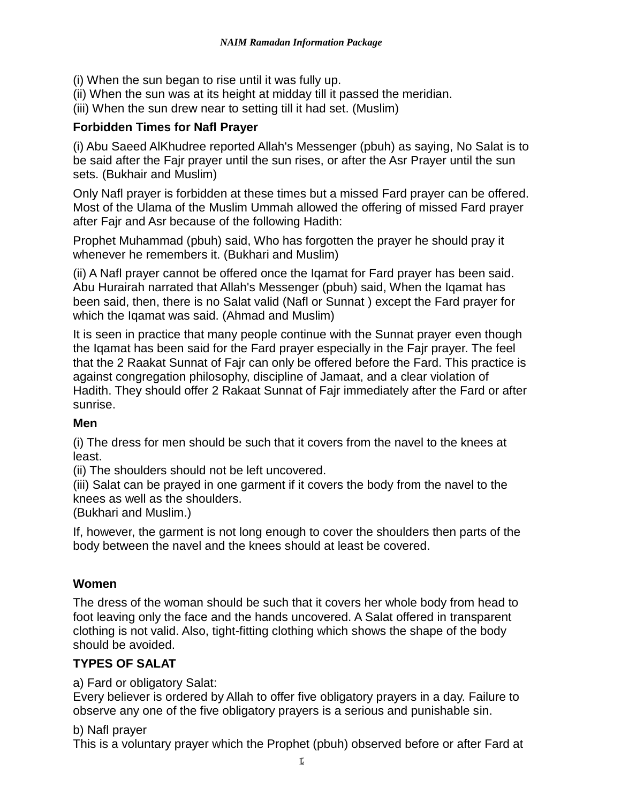(i) When the sun began to rise until it was fully up.

(ii) When the sun was at its height at midday till it passed the meridian.

(iii) When the sun drew near to setting till it had set. (Muslim)

## **Forbidden Times for Nafl Prayer**

(i) Abu Saeed AlKhudree reported Allah's Messenger (pbuh) as saying, No Salat is to be said after the Fajr prayer until the sun rises, or after the Asr Prayer until the sun sets. (Bukhair and Muslim)

Only Nafl prayer is forbidden at these times but a missed Fard prayer can be offered. Most of the Ulama of the Muslim Ummah allowed the offering of missed Fard prayer after Fajr and Asr because of the following Hadith:

Prophet Muhammad (pbuh) said, Who has forgotten the prayer he should pray it whenever he remembers it. (Bukhari and Muslim)

(ii) A Nafl prayer cannot be offered once the Iqamat for Fard prayer has been said. Abu Hurairah narrated that Allah's Messenger (pbuh) said, When the Iqamat has been said, then, there is no Salat valid (Nafl or Sunnat ) except the Fard prayer for which the Iqamat was said. (Ahmad and Muslim)

It is seen in practice that many people continue with the Sunnat prayer even though the Iqamat has been said for the Fard prayer especially in the Fajr prayer. The feel that the 2 Raakat Sunnat of Fajr can only be offered before the Fard. This practice is against congregation philosophy, discipline of Jamaat, and a clear violation of Hadith. They should offer 2 Rakaat Sunnat of Fajr immediately after the Fard or after sunrise.

## **Men**

(i) The dress for men should be such that it covers from the navel to the knees at least.

(ii) The shoulders should not be left uncovered.

(iii) Salat can be prayed in one garment if it covers the body from the navel to the knees as well as the shoulders.

(Bukhari and Muslim.)

If, however, the garment is not long enough to cover the shoulders then parts of the body between the navel and the knees should at least be covered.

## **Women**

The dress of the woman should be such that it covers her whole body from head to foot leaving only the face and the hands uncovered. A Salat offered in transparent clothing is not valid. Also, tight-fitting clothing which shows the shape of the body should be avoided.

## **TYPES OF SALAT**

a) Fard or obligatory Salat:

Every believer is ordered by Allah to offer five obligatory prayers in a day. Failure to observe any one of the five obligatory prayers is a serious and punishable sin.

## b) Nafl prayer

This is a voluntary prayer which the Prophet (pbuh) observed before or after Fard at